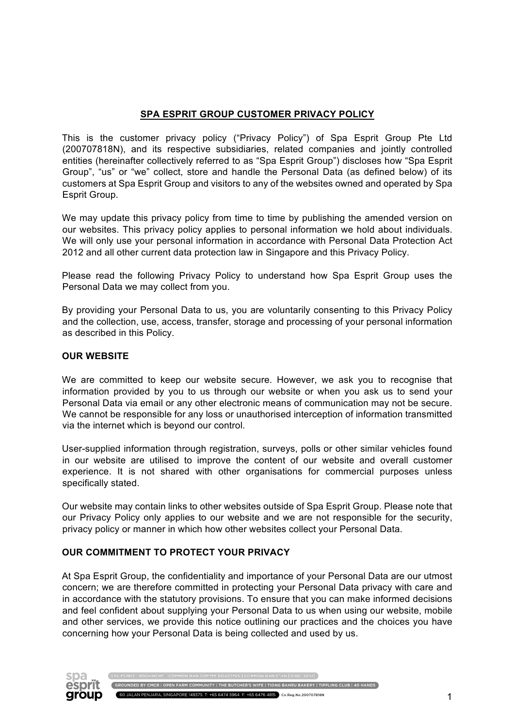### **SPA ESPRIT GROUP CUSTOMER PRIVACY POLICY**

This is the customer privacy policy ("Privacy Policy") of Spa Esprit Group Pte Ltd (200707818N), and its respective subsidiaries, related companies and jointly controlled entities (hereinafter collectively referred to as "Spa Esprit Group") discloses how "Spa Esprit Group", "us" or "we" collect, store and handle the Personal Data (as defined below) of its customers at Spa Esprit Group and visitors to any of the websites owned and operated by Spa Esprit Group.

We may update this privacy policy from time to time by publishing the amended version on our websites. This privacy policy applies to personal information we hold about individuals. We will only use your personal information in accordance with Personal Data Protection Act 2012 and all other current data protection law in Singapore and this Privacy Policy.

Please read the following Privacy Policy to understand how Spa Esprit Group uses the Personal Data we may collect from you.

By providing your Personal Data to us, you are voluntarily consenting to this Privacy Policy and the collection, use, access, transfer, storage and processing of your personal information as described in this Policy.

#### **OUR WEBSITE**

We are committed to keep our website secure. However, we ask you to recognise that information provided by you to us through our website or when you ask us to send your Personal Data via email or any other electronic means of communication may not be secure. We cannot be responsible for any loss or unauthorised interception of information transmitted via the internet which is beyond our control.

User-supplied information through registration, surveys, polls or other similar vehicles found in our website are utilised to improve the content of our website and overall customer experience. It is not shared with other organisations for commercial purposes unless specifically stated.

Our website may contain links to other websites outside of Spa Esprit Group. Please note that our Privacy Policy only applies to our website and we are not responsible for the security, privacy policy or manner in which how other websites collect your Personal Data.

#### **OUR COMMITMENT TO PROTECT YOUR PRIVACY**

At Spa Esprit Group, the confidentiality and importance of your Personal Data are our utmost concern; we are therefore committed in protecting your Personal Data privacy with care and in accordance with the statutory provisions. To ensure that you can make informed decisions and feel confident about supplying your Personal Data to us when using our website, mobile and other services, we provide this notice outlining our practices and the choices you have concerning how your Personal Data is being collected and used by us.



GROUNDED BY CMCR | OPEN FARM COMMUNITY | THE BUTCHER'S WIFE | TIONG BAHRU BAKERY | TIPPLING CLUB | 40 HANDS 60 JALAN PENJARA, SINGAPORE 149375. T: +65 6474 5964 F: +65 6476 4815 Co.Reg.No.200707818N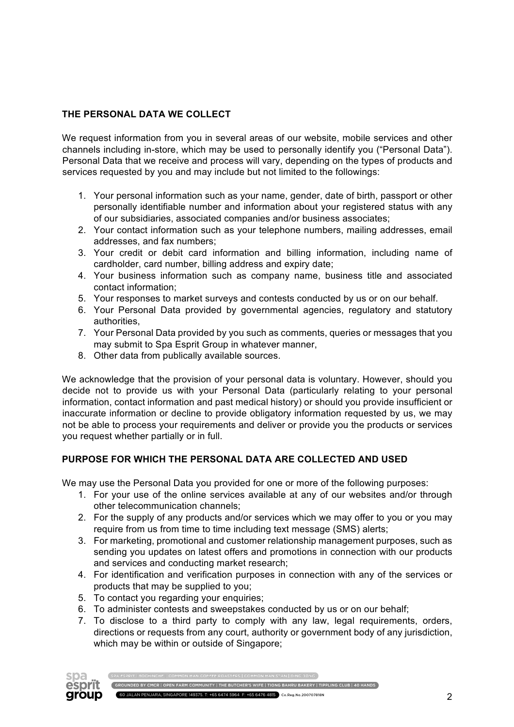# **THE PERSONAL DATA WE COLLECT**

We request information from you in several areas of our website, mobile services and other channels including in-store, which may be used to personally identify you ("Personal Data"). Personal Data that we receive and process will vary, depending on the types of products and services requested by you and may include but not limited to the followings:

- 1. Your personal information such as your name, gender, date of birth, passport or other personally identifiable number and information about your registered status with any of our subsidiaries, associated companies and/or business associates;
- 2. Your contact information such as your telephone numbers, mailing addresses, email addresses, and fax numbers;
- 3. Your credit or debit card information and billing information, including name of cardholder, card number, billing address and expiry date;
- 4. Your business information such as company name, business title and associated contact information;
- 5. Your responses to market surveys and contests conducted by us or on our behalf.
- 6. Your Personal Data provided by governmental agencies, regulatory and statutory authorities,
- 7. Your Personal Data provided by you such as comments, queries or messages that you may submit to Spa Esprit Group in whatever manner,
- 8. Other data from publically available sources.

We acknowledge that the provision of your personal data is voluntary. However, should you decide not to provide us with your Personal Data (particularly relating to your personal information, contact information and past medical history) or should you provide insufficient or inaccurate information or decline to provide obligatory information requested by us, we may not be able to process your requirements and deliver or provide you the products or services you request whether partially or in full.

## **PURPOSE FOR WHICH THE PERSONAL DATA ARE COLLECTED AND USED**

We may use the Personal Data you provided for one or more of the following purposes:

- 1. For your use of the online services available at any of our websites and/or through other telecommunication channels;
- 2. For the supply of any products and/or services which we may offer to you or you may require from us from time to time including text message (SMS) alerts;
- 3. For marketing, promotional and customer relationship management purposes, such as sending you updates on latest offers and promotions in connection with our products and services and conducting market research;
- 4. For identification and verification purposes in connection with any of the services or products that may be supplied to you;
- 5. To contact you regarding your enquiries;
- 6. To administer contests and sweepstakes conducted by us or on our behalf;
- 7. To disclose to a third party to comply with any law, legal requirements, orders, directions or requests from any court, authority or government body of any jurisdiction, which may be within or outside of Singapore;

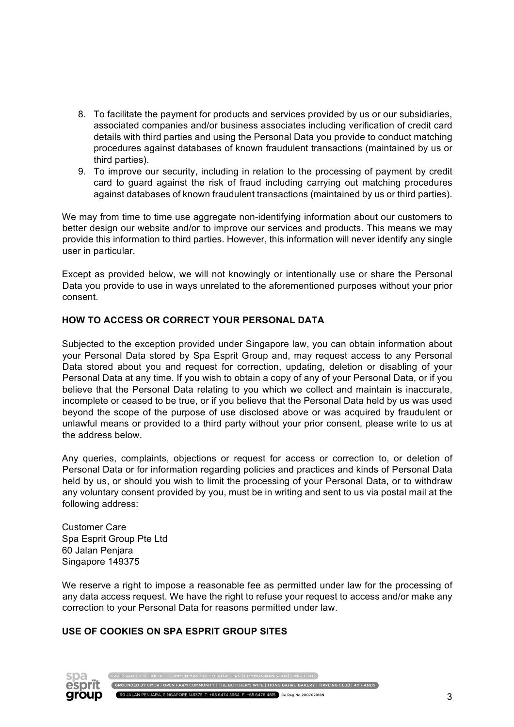- 8. To facilitate the payment for products and services provided by us or our subsidiaries, associated companies and/or business associates including verification of credit card details with third parties and using the Personal Data you provide to conduct matching procedures against databases of known fraudulent transactions (maintained by us or third parties).
- 9. To improve our security, including in relation to the processing of payment by credit card to guard against the risk of fraud including carrying out matching procedures against databases of known fraudulent transactions (maintained by us or third parties).

We may from time to time use aggregate non-identifying information about our customers to better design our website and/or to improve our services and products. This means we may provide this information to third parties. However, this information will never identify any single user in particular.

Except as provided below, we will not knowingly or intentionally use or share the Personal Data you provide to use in ways unrelated to the aforementioned purposes without your prior consent.

## **HOW TO ACCESS OR CORRECT YOUR PERSONAL DATA**

Subjected to the exception provided under Singapore law, you can obtain information about your Personal Data stored by Spa Esprit Group and, may request access to any Personal Data stored about you and request for correction, updating, deletion or disabling of your Personal Data at any time. If you wish to obtain a copy of any of your Personal Data, or if you believe that the Personal Data relating to you which we collect and maintain is inaccurate, incomplete or ceased to be true, or if you believe that the Personal Data held by us was used beyond the scope of the purpose of use disclosed above or was acquired by fraudulent or unlawful means or provided to a third party without your prior consent, please write to us at the address below.

Any queries, complaints, objections or request for access or correction to, or deletion of Personal Data or for information regarding policies and practices and kinds of Personal Data held by us, or should you wish to limit the processing of your Personal Data, or to withdraw any voluntary consent provided by you, must be in writing and sent to us via postal mail at the following address:

Customer Care Spa Esprit Group Pte Ltd 60 Jalan Penjara Singapore 149375

We reserve a right to impose a reasonable fee as permitted under law for the processing of any data access request. We have the right to refuse your request to access and/or make any correction to your Personal Data for reasons permitted under law.

## **USE OF COOKIES ON SPA ESPRIT GROUP SITES**

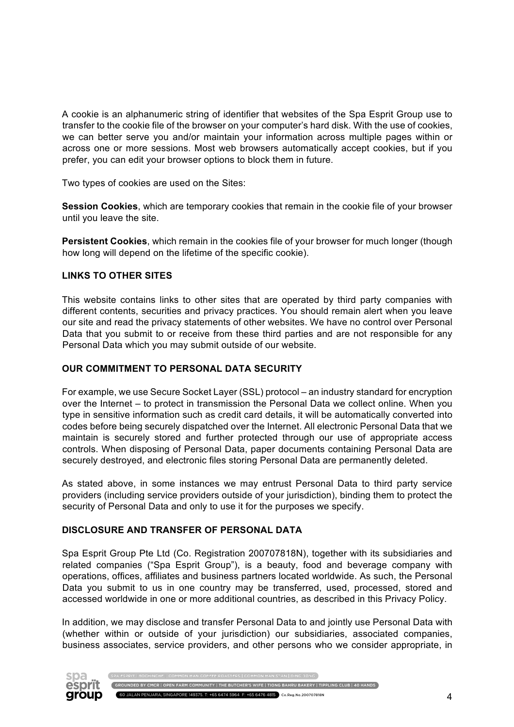A cookie is an alphanumeric string of identifier that websites of the Spa Esprit Group use to transfer to the cookie file of the browser on your computer's hard disk. With the use of cookies, we can better serve you and/or maintain your information across multiple pages within or across one or more sessions. Most web browsers automatically accept cookies, but if you prefer, you can edit your browser options to block them in future.

Two types of cookies are used on the Sites:

**Session Cookies**, which are temporary cookies that remain in the cookie file of your browser until you leave the site.

**Persistent Cookies**, which remain in the cookies file of your browser for much longer (though how long will depend on the lifetime of the specific cookie).

#### **LINKS TO OTHER SITES**

This website contains links to other sites that are operated by third party companies with different contents, securities and privacy practices. You should remain alert when you leave our site and read the privacy statements of other websites. We have no control over Personal Data that you submit to or receive from these third parties and are not responsible for any Personal Data which you may submit outside of our website.

#### **OUR COMMITMENT TO PERSONAL DATA SECURITY**

For example, we use Secure Socket Layer (SSL) protocol – an industry standard for encryption over the Internet – to protect in transmission the Personal Data we collect online. When you type in sensitive information such as credit card details, it will be automatically converted into codes before being securely dispatched over the Internet. All electronic Personal Data that we maintain is securely stored and further protected through our use of appropriate access controls. When disposing of Personal Data, paper documents containing Personal Data are securely destroyed, and electronic files storing Personal Data are permanently deleted.

As stated above, in some instances we may entrust Personal Data to third party service providers (including service providers outside of your jurisdiction), binding them to protect the security of Personal Data and only to use it for the purposes we specify.

#### **DISCLOSURE AND TRANSFER OF PERSONAL DATA**

Spa Esprit Group Pte Ltd (Co. Registration 200707818N), together with its subsidiaries and related companies ("Spa Esprit Group"), is a beauty, food and beverage company with operations, offices, affiliates and business partners located worldwide. As such, the Personal Data you submit to us in one country may be transferred, used, processed, stored and accessed worldwide in one or more additional countries, as described in this Privacy Policy.

In addition, we may disclose and transfer Personal Data to and jointly use Personal Data with (whether within or outside of your jurisdiction) our subsidiaries, associated companies, business associates, service providers, and other persons who we consider appropriate, in



 $\sqrt{2}$  GROUNDED BY CMCR  $\mid$  OPEN FARM COMMUNITY  $\mid$  THE BUTCHER'S WIFE  $\mid$  TIONG BAHRU BAKERY  $\mid$  TIPPLING CLUB  $\mid$  40 HANDS  $\mid$ 60 JALAN PENJARA, SINGAPORE 149375. T: +65 6474 5964 F: +65 6476 4815 Co.Reg.No.200707818N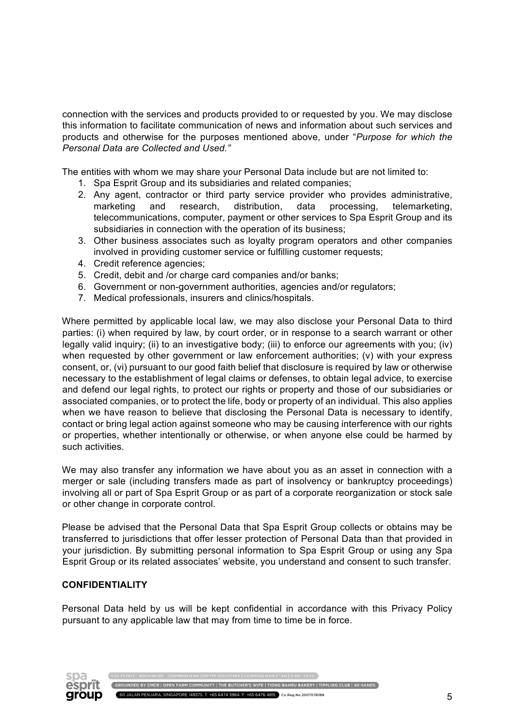connection with the services and products provided to or requested by you. We may disclose this information to facilitate communication of news and information about such services and products and otherwise for the purposes mentioned above, under "*Purpose for which the Personal Data are Collected and Used."*

The entities with whom we may share your Personal Data include but are not limited to:

- 1. Spa Esprit Group and its subsidiaries and related companies;
- 2. Any agent, contractor or third party service provider who provides administrative, marketing and research, distribution, data processing, telemarketing, telecommunications, computer, payment or other services to Spa Esprit Group and its subsidiaries in connection with the operation of its business;
- 3. Other business associates such as loyalty program operators and other companies involved in providing customer service or fulfilling customer requests;
- 4. Credit reference agencies;
- 5. Credit, debit and /or charge card companies and/or banks;
- 6. Government or non-government authorities, agencies and/or regulators;
- 7. Medical professionals, insurers and clinics/hospitals.

Where permitted by applicable local law, we may also disclose your Personal Data to third parties: (i) when required by law, by court order, or in response to a search warrant or other legally valid inquiry; (ii) to an investigative body; (iii) to enforce our agreements with you; (iv) when requested by other government or law enforcement authorities; (v) with your express consent, or, (vi) pursuant to our good faith belief that disclosure is required by law or otherwise necessary to the establishment of legal claims or defenses, to obtain legal advice, to exercise and defend our legal rights, to protect our rights or property and those of our subsidiaries or associated companies, or to protect the life, body or property of an individual. This also applies when we have reason to believe that disclosing the Personal Data is necessary to identify, contact or bring legal action against someone who may be causing interference with our rights or properties, whether intentionally or otherwise, or when anyone else could be harmed by such activities.

We may also transfer any information we have about you as an asset in connection with a merger or sale (including transfers made as part of insolvency or bankruptcy proceedings) involving all or part of Spa Esprit Group or as part of a corporate reorganization or stock sale or other change in corporate control.

Please be advised that the Personal Data that Spa Esprit Group collects or obtains may be transferred to jurisdictions that offer lesser protection of Personal Data than that provided in your jurisdiction. By submitting personal information to Spa Esprit Group or using any Spa Esprit Group or its related associates' website, you understand and consent to such transfer.

#### **CONFIDENTIALITY**

Personal Data held by us will be kept confidential in accordance with this Privacy Policy pursuant to any applicable law that may from time to time be in force.

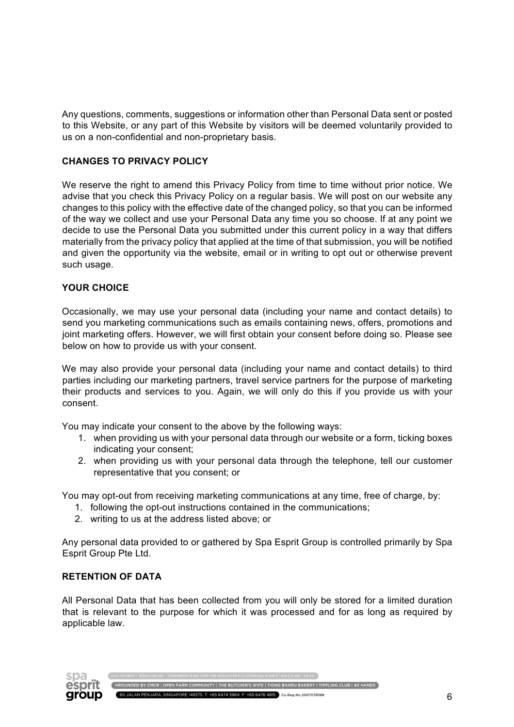Any questions, comments, suggestions or information other than Personal Data sent or posted to this Website, or any part of this Website by visitors will be deemed voluntarily provided to us on a non-confidential and non-proprietary basis.

## **CHANGES TO PRIVACY POLICY**

We reserve the right to amend this Privacy Policy from time to time without prior notice. We advise that you check this Privacy Policy on a regular basis. We will post on our website any changes to this policy with the effective date of the changed policy, so that you can be informed of the way we collect and use your Personal Data any time you so choose. If at any point we decide to use the Personal Data you submitted under this current policy in a way that differs materially from the privacy policy that applied at the time of that submission, you will be notified and given the opportunity via the website, email or in writing to opt out or otherwise prevent such usage.

## **YOUR CHOICE**

Occasionally, we may use your personal data (including your name and contact details) to send you marketing communications such as emails containing news, offers, promotions and joint marketing offers. However, we will first obtain your consent before doing so. Please see below on how to provide us with your consent.

We may also provide your personal data (including your name and contact details) to third parties including our marketing partners, travel service partners for the purpose of marketing their products and services to you. Again, we will only do this if you provide us with your consent.

You may indicate your consent to the above by the following ways:

- 1. when providing us with your personal data through our website or a form, ticking boxes indicating your consent;
- 2. when providing us with your personal data through the telephone, tell our customer representative that you consent; or

You may opt-out from receiving marketing communications at any time, free of charge, by:

- 1. following the opt-out instructions contained in the communications;
- 2. writing to us at the address listed above; or

Any personal data provided to or gathered by Spa Esprit Group is controlled primarily by Spa Esprit Group Pte Ltd.

#### **RETENTION OF DATA**

All Personal Data that has been collected from you will only be stored for a limited duration that is relevant to the purpose for which it was processed and for as long as required by applicable law.



GROUNDED BY CMCR | OPEN FARM COMMUNITY | THE BUTCHER'S WIFE | TIONG BAHRU BAKERY | TIPPLING CLUB | 40 HANDS 60 JALAN PENJARA, SINGAPORE 149375. T: +65 6474 5964 F: +65 6476 4815 Co.Reg.No.200707818N